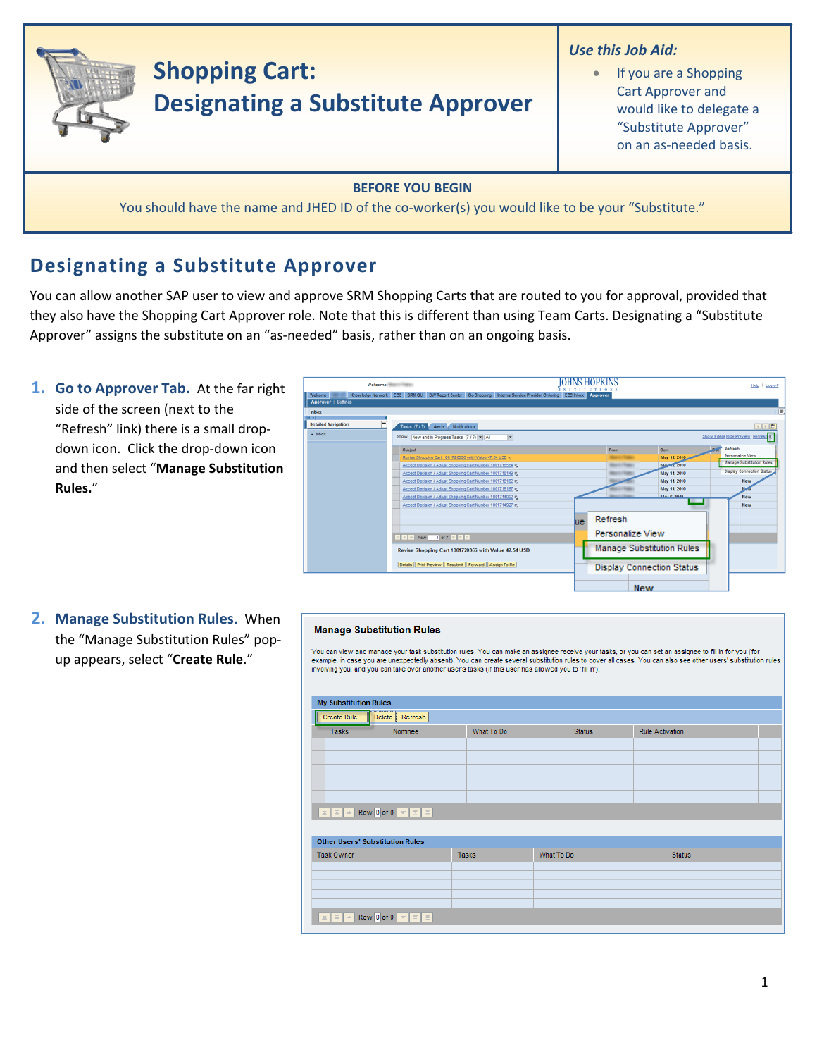

You should have the name and JHED ID of the co-worker(s) you would like to be your "Substitute."

# **Designating a Substitute Approver**

You can allow another SAP user to view and approve SRM Shopping Carts that are routed to you for approval, provided that they also have the Shopping Cart Approver role. Note that this is different than using Team Carts. Designating a "Substitute Approver" assigns the substitute on an "as-needed" basis, rather than on an ongoing basis.

**1. Go to Approver Tab.** At the far right side of the screen (next to the "Refresh" link) there is a small drop‐ down icon. Click the drop‐down icon and then select "**Manage Substitution Rules.**"



**2. Manage Substitution Rules.** When the "Manage Substitution Rules" pop‐ up appears, select "**Create Rule**."

### **Manage Substitution Rules**

You can view and manage your task substitution rules. You can make an assignee receive your tasks, or you can set an assignee to fill in for you (for example, in case you are unexpectedly absent). You can create several substitution rules to cover all cases. You can also see other users' substitution rules involving you, and you can take over another user's tasks (if this user has allowed you to 'fill in')

| <b>My Substitution Rules</b>                                                                                                                     |         |              |            |               |                        |               |  |
|--------------------------------------------------------------------------------------------------------------------------------------------------|---------|--------------|------------|---------------|------------------------|---------------|--|
| Create Rule  Delete Refresh                                                                                                                      |         |              |            |               |                        |               |  |
| <b>Tasks</b>                                                                                                                                     | Nominee | What To Do   |            | <b>Status</b> | <b>Rule Activation</b> |               |  |
|                                                                                                                                                  |         |              |            |               |                        |               |  |
|                                                                                                                                                  |         |              |            |               |                        |               |  |
|                                                                                                                                                  |         |              |            |               |                        |               |  |
|                                                                                                                                                  |         |              |            |               |                        |               |  |
|                                                                                                                                                  |         |              |            |               |                        |               |  |
| EZA Row O of 0 V Z Z                                                                                                                             |         |              |            |               |                        |               |  |
|                                                                                                                                                  |         |              |            |               |                        |               |  |
| <b>Other Users' Substitution Rules</b>                                                                                                           |         |              |            |               |                        |               |  |
| <b>Task Owner</b>                                                                                                                                |         | <b>Tasks</b> | What To Do |               |                        | <b>Status</b> |  |
|                                                                                                                                                  |         |              |            |               |                        |               |  |
|                                                                                                                                                  |         |              |            |               |                        |               |  |
|                                                                                                                                                  |         |              |            |               |                        |               |  |
|                                                                                                                                                  |         |              |            |               |                        |               |  |
| $\boxed{\boxed{\mathbb{Z}} \boxed{\mathbb{Z}} \boxed{\mathbb{Z}} \boxed{\mathbb{A}}$ Row 0 of 0 $\nabla$ $\boxed{\mathbb{Z}} \boxed{\mathbb{Z}}$ |         |              |            |               |                        |               |  |
|                                                                                                                                                  |         |              |            |               |                        |               |  |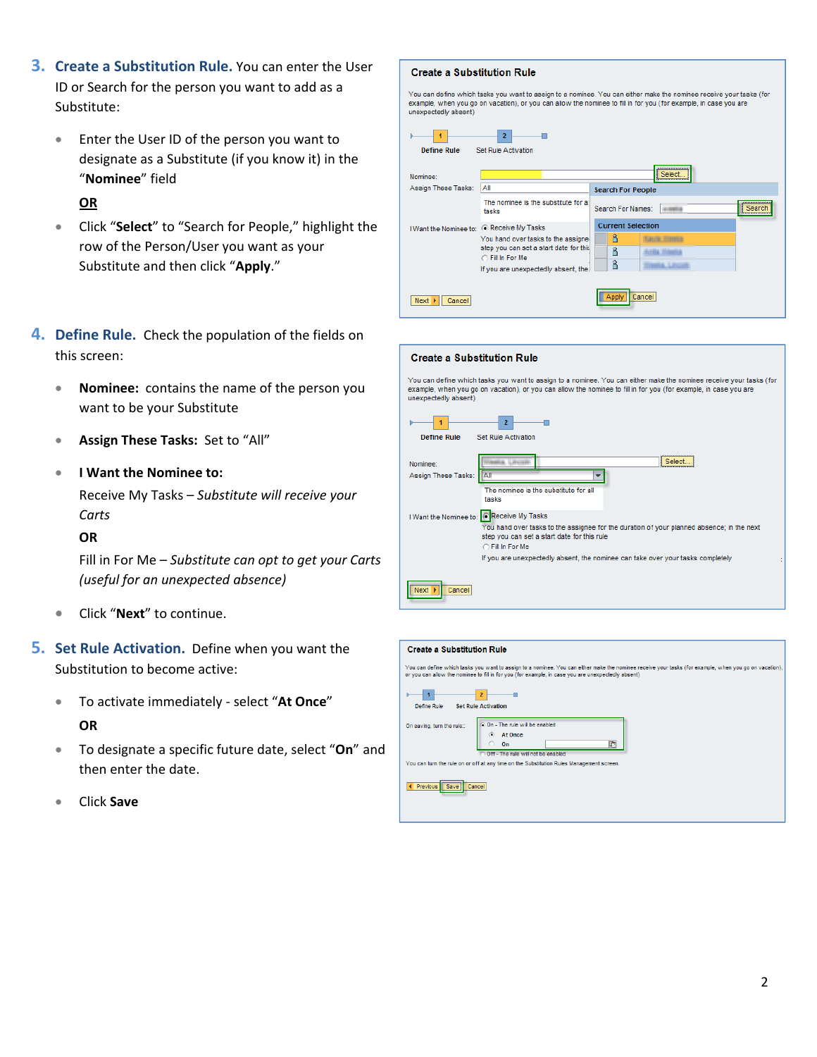- **3. Create a Substitution Rule.** You can enter the User ID or Search for the person you want to add as a Substitute:
	- Enter the User ID of the person you want to designate as a Substitute (if you know it) in the "**Nominee**" field

**OR**

- Click "**Select**" to "Search for People," highlight the row of the Person/User you want as your Substitute and then click "**Apply**."
- **4. Define Rule.** Check the population of the fields on this screen:
	- **Nominee:** contains the name of the person you want to be your Substitute
	- **Assign These Tasks:** Set to "All"

## • **I Want the Nominee to:**

Receive My Tasks – *Substitute will receive your Carts*

## **OR**

Fill in For Me – *Substitute can opt to get your Carts (useful for an unexpected absence)*

- Click "**Next**" to continue.
- **5. Set Rule Activation.** Define when you want the Substitution to become active:
	- To activate immediately ‐ select "**At Once**" **OR**
	- To designate a specific future date, select "**On**" and then enter the date.
	- Click **Save**

## **Create a Substitution Rule**

You can define which tasks you want to assign to a nominee. You can either make the nominee receive your tasks (for<br>example, when you go on vacation), or you can allow the nominee to fill in for you (for example, in case y unexpectedly absent)

| <b>Define Rule</b>                | $\overline{2}$<br><b>Set Rule Activation</b>                                                                                                                  |                                                                                                  |
|-----------------------------------|---------------------------------------------------------------------------------------------------------------------------------------------------------------|--------------------------------------------------------------------------------------------------|
| Nominee:                          |                                                                                                                                                               | Select.<br>                                                                                      |
| Assign These Tasks:               | Αll                                                                                                                                                           | <b>Search For People</b>                                                                         |
|                                   | The nominee is the substitute for all<br>tasks                                                                                                                | -------------------<br>Search For Names:<br>Search<br>ALIGIGATIVE                                |
| I Want the Nominee to:            | C Receive My Tasks<br>You hand over tasks to the assigne<br>step you can set a start date for this<br>○ Fill In For Me<br>If you are unexpectedly absent, the | <b>Current Selection</b><br>గి<br>ጸ<br><b><i>AVAIA MARIN</i></b><br>ჩ<br><b>Needia</b> , Lavrage |
| $Next$ $\triangleright$<br>Cancel |                                                                                                                                                               | Cancel<br>Apply                                                                                  |

| <b>Create a Substitution Rule</b>                                                                                                                                                                                                                                                           |
|---------------------------------------------------------------------------------------------------------------------------------------------------------------------------------------------------------------------------------------------------------------------------------------------|
| You can define which tasks you want to assign to a nominee. You can either make the nominee receive your tasks (for<br>example, when you go on vacation), or you can allow the nominee to fill in for you (for example, in case you are<br>unexpectedly absent)                             |
| $\overline{2}$<br><b>Define Rule</b><br><b>Set Rule Activation</b>                                                                                                                                                                                                                          |
| Select<br>Nominee:<br>Assign These Tasks:<br>ΙAΙ<br>The nominee is the substitute for all<br>tasks                                                                                                                                                                                          |
| I Want the Nominee to: CReceive My Tasks<br>You hand over tasks to the assignee for the duration of your planned absence; in the next<br>step you can set a start date for this rule<br>○ Fill In For Me<br>If you are unexpectedly absent, the nominee can take over your tasks completely |
| Cancel                                                                                                                                                                                                                                                                                      |

| <b>Create a Substitution Rule</b>                                                                                                                                                                                                                            |
|--------------------------------------------------------------------------------------------------------------------------------------------------------------------------------------------------------------------------------------------------------------|
| You can define which tasks you want to assign to a nominee. You can either make the nominee receive your tasks (for example, when you go on vacation),<br>or you can allow the nominee to fill in for you (for example, in case you are unexpectedly absent) |
| $\overline{\phantom{a}}$<br><b>Set Rule Activation</b><br>Define Rule                                                                                                                                                                                        |
| C On - The rule will be enabled<br>On saving, turn the rule::<br>At Once<br>G<br>眃<br>On<br>Off-The rule will not be enabled                                                                                                                                 |
| You can turn the rule on or off at any time on the Substitution Rules Management screen.<br>4 Previous<br>Save<br>Cancel                                                                                                                                     |